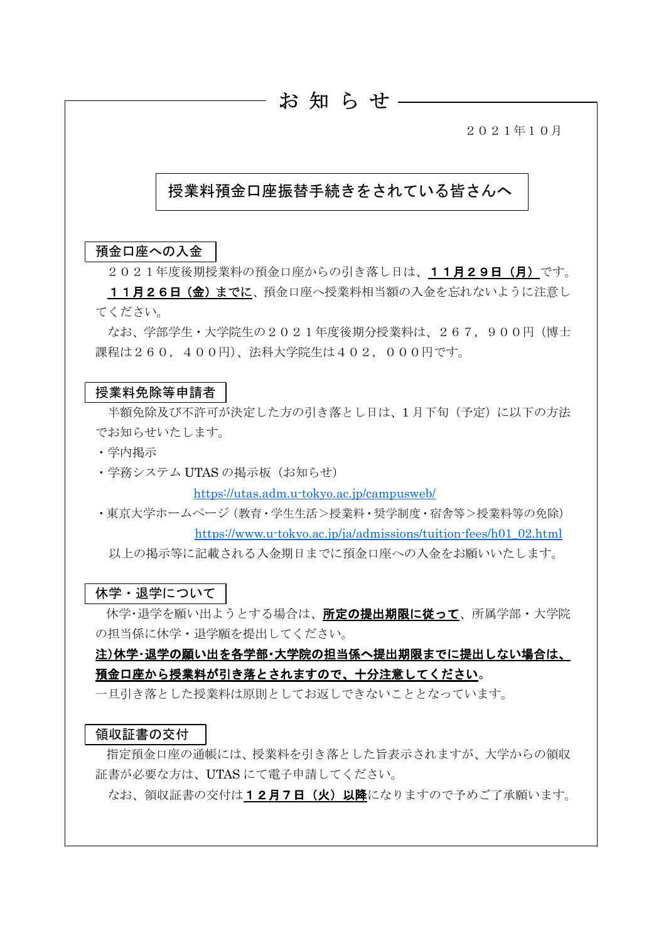